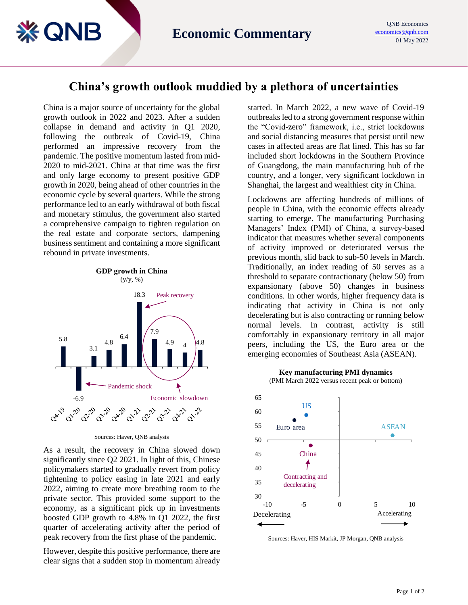## **China's growth outlook muddied by a plethora of uncertainties**

China is a major source of uncertainty for the global growth outlook in 2022 and 2023. After a sudden collapse in demand and activity in Q1 2020, following the outbreak of Covid-19, China performed an impressive recovery from the pandemic. The positive momentum lasted from mid-2020 to mid-2021. China at that time was the first and only large economy to present positive GDP growth in 2020, being ahead of other countries in the economic cycle by several quarters. While the strong performance led to an early withdrawal of both fiscal and monetary stimulus, the government also started a comprehensive campaign to tighten regulation on the real estate and corporate sectors, dampening business sentiment and containing a more significant rebound in private investments.

**& QNB** 



Sources: Haver, QNB analysis

As a result, the recovery in China slowed down significantly since Q2 2021. In light of this, Chinese policymakers started to gradually revert from policy tightening to policy easing in late 2021 and early 2022, aiming to create more breathing room to the private sector. This provided some support to the economy, as a significant pick up in investments boosted GDP growth to 4.8% in Q1 2022, the first quarter of accelerating activity after the period of peak recovery from the first phase of the pandemic.

However, despite this positive performance, there are clear signs that a sudden stop in momentum already started. In March 2022, a new wave of Covid-19 outbreaks led to a strong government response within the "Covid-zero" framework, i.e., strict lockdowns and social distancing measures that persist until new cases in affected areas are flat lined. This has so far included short lockdowns in the Southern Province of Guangdong, the main manufacturing hub of the country, and a longer, very significant lockdown in Shanghai, the largest and wealthiest city in China.

Lockdowns are affecting hundreds of millions of people in China, with the economic effects already starting to emerge. The manufacturing Purchasing Managers' Index (PMI) of China, a survey-based indicator that measures whether several components of activity improved or deteriorated versus the previous month, slid back to sub-50 levels in March. Traditionally, an index reading of 50 serves as a threshold to separate contractionary (below 50) from expansionary (above 50) changes in business conditions. In other words, higher frequency data is indicating that activity in China is not only decelerating but is also contracting or running below normal levels. In contrast, activity is still comfortably in expansionary territory in all major peers, including the US, the Euro area or the emerging economies of Southeast Asia (ASEAN).

**Key manufacturing PMI dynamics** (PMI March 2022 versus recent peak or bottom)



Sources: Haver, HIS Markit, JP Morgan, QNB analysis